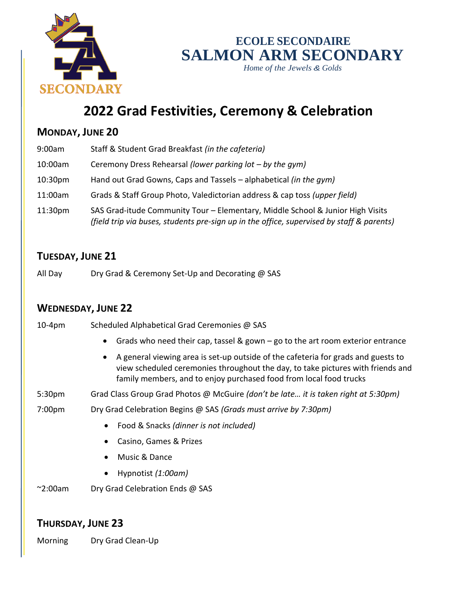

## **ECOLE SECONDAIRE SALMON ARM SECONDARY**

*Home of the Jewels & Golds*

# **2022 Grad Festivities, Ceremony & Celebration**

#### **MONDAY, JUNE 20**

| 9:00am              | Staff & Student Grad Breakfast (in the cafeteria)                                                                                                                           |
|---------------------|-----------------------------------------------------------------------------------------------------------------------------------------------------------------------------|
| 10:00am             | Ceremony Dress Rehearsal (lower parking $lot - by$ the gym)                                                                                                                 |
| 10:30 <sub>pm</sub> | Hand out Grad Gowns, Caps and Tassels – alphabetical (in the gym)                                                                                                           |
| 11:00am             | Grads & Staff Group Photo, Valedictorian address & cap toss (upper field)                                                                                                   |
| 11:30 <sub>pm</sub> | SAS Grad-itude Community Tour - Elementary, Middle School & Junior High Visits<br>(field trip via buses, students pre-sign up in the office, supervised by staff & parents) |

#### **TUESDAY, JUNE 21**

All Day Dry Grad & Ceremony Set-Up and Decorating @ SAS

## **WEDNESDAY, JUNE 22**

| <b>VVEDINESDAT, JUNE ZZ</b> |                                                                                                                                                                                                                                                         |
|-----------------------------|---------------------------------------------------------------------------------------------------------------------------------------------------------------------------------------------------------------------------------------------------------|
| $10-4pm$                    | Scheduled Alphabetical Grad Ceremonies @ SAS                                                                                                                                                                                                            |
|                             | Grads who need their cap, tassel & gown $-$ go to the art room exterior entrance                                                                                                                                                                        |
|                             | A general viewing area is set-up outside of the cafeteria for grads and guests to<br>$\bullet$<br>view scheduled ceremonies throughout the day, to take pictures with friends and<br>family members, and to enjoy purchased food from local food trucks |
| 5:30 <sub>pm</sub>          | Grad Class Group Grad Photos @ McGuire (don't be late it is taken right at 5:30pm)                                                                                                                                                                      |
| 7:00 <sub>pm</sub>          | Dry Grad Celebration Begins @ SAS (Grads must arrive by 7:30pm)                                                                                                                                                                                         |
|                             | Food & Snacks (dinner is not included)                                                                                                                                                                                                                  |
|                             | Casino, Games & Prizes                                                                                                                                                                                                                                  |
|                             | Music & Dance                                                                                                                                                                                                                                           |
|                             | Hypnotist (1:00am)                                                                                                                                                                                                                                      |
| $\sim$ 2:00am               | Dry Grad Celebration Ends @ SAS                                                                                                                                                                                                                         |
|                             |                                                                                                                                                                                                                                                         |

### **THURSDAY, JUNE 23**

Morning Dry Grad Clean-Up